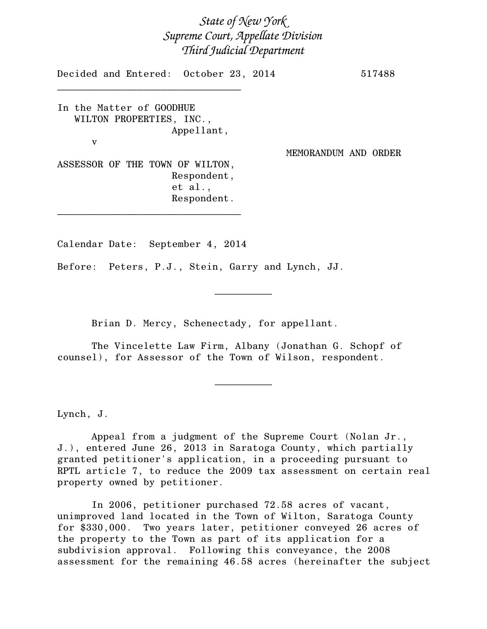*State of New York Supreme Court, Appellate Division Third Judicial Department*

Decided and Entered: October 23, 2014 517488 \_\_\_\_\_\_\_\_\_\_\_\_\_\_\_\_\_\_\_\_\_\_\_\_\_\_\_\_\_\_\_\_ In the Matter of GOODHUE WILTON PROPERTIES, INC., Appellant, v MEMORANDUM AND ORDER ASSESSOR OF THE TOWN OF WILTON, Respondent, et al., Respondent. \_\_\_\_\_\_\_\_\_\_\_\_\_\_\_\_\_\_\_\_\_\_\_\_\_\_\_\_\_\_\_\_

Calendar Date: September 4, 2014

Before: Peters, P.J., Stein, Garry and Lynch, JJ.

Brian D. Mercy, Schenectady, for appellant.

The Vincelette Law Firm, Albany (Jonathan G. Schopf of counsel), for Assessor of the Town of Wilson, respondent.

 $\frac{1}{2}$ 

Lynch, J.

Appeal from a judgment of the Supreme Court (Nolan Jr., J.), entered June 26, 2013 in Saratoga County, which partially granted petitioner's application, in a proceeding pursuant to RPTL article 7, to reduce the 2009 tax assessment on certain real property owned by petitioner.

 $\overline{\phantom{a}}$   $\overline{\phantom{a}}$   $\overline{\phantom{a}}$   $\overline{\phantom{a}}$   $\overline{\phantom{a}}$   $\overline{\phantom{a}}$   $\overline{\phantom{a}}$   $\overline{\phantom{a}}$   $\overline{\phantom{a}}$   $\overline{\phantom{a}}$   $\overline{\phantom{a}}$   $\overline{\phantom{a}}$   $\overline{\phantom{a}}$   $\overline{\phantom{a}}$   $\overline{\phantom{a}}$   $\overline{\phantom{a}}$   $\overline{\phantom{a}}$   $\overline{\phantom{a}}$   $\overline{\$ 

In 2006, petitioner purchased 72.58 acres of vacant, unimproved land located in the Town of Wilton, Saratoga County for \$330,000. Two years later, petitioner conveyed 26 acres of the property to the Town as part of its application for a subdivision approval. Following this conveyance, the 2008 assessment for the remaining 46.58 acres (hereinafter the subject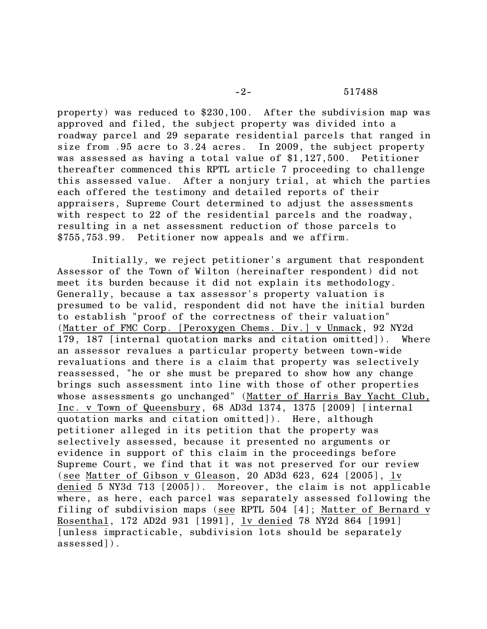property) was reduced to \$230,100. After the subdivision map was approved and filed, the subject property was divided into a roadway parcel and 29 separate residential parcels that ranged in size from .95 acre to 3.24 acres. In 2009, the subject property was assessed as having a total value of \$1,127,500. Petitioner thereafter commenced this RPTL article 7 proceeding to challenge this assessed value. After a nonjury trial, at which the parties each offered the testimony and detailed reports of their appraisers, Supreme Court determined to adjust the assessments with respect to 22 of the residential parcels and the roadway, resulting in a net assessment reduction of those parcels to \$755,753.99. Petitioner now appeals and we affirm.

Initially, we reject petitioner's argument that respondent Assessor of the Town of Wilton (hereinafter respondent) did not meet its burden because it did not explain its methodology. Generally, because a tax assessor's property valuation is presumed to be valid, respondent did not have the initial burden to establish "proof of the correctness of their valuation" (Matter of FMC Corp. [Peroxygen Chems. Div.] v Unmack, 92 NY2d 179, 187 [internal quotation marks and citation omitted]). Where an assessor revalues a particular property between town-wide revaluations and there is a claim that property was selectively reassessed, "he or she must be prepared to show how any change brings such assessment into line with those of other properties whose assessments go unchanged" (Matter of Harris Bay Yacht Club, Inc. v Town of Queensbury, 68 AD3d 1374, 1375 [2009] [internal quotation marks and citation omitted]). Here, although petitioner alleged in its petition that the property was selectively assessed, because it presented no arguments or evidence in support of this claim in the proceedings before Supreme Court, we find that it was not preserved for our review (see Matter of Gibson v Gleason, 20 AD3d 623, 624 [2005], lv denied 5 NY3d 713 [2005]). Moreover, the claim is not applicable where, as here, each parcel was separately assessed following the filing of subdivision maps (see RPTL 504 [4]; Matter of Bernard v Rosenthal, 172 AD2d 931 [1991], lv denied 78 NY2d 864 [1991] [unless impracticable, subdivision lots should be separately assessed]).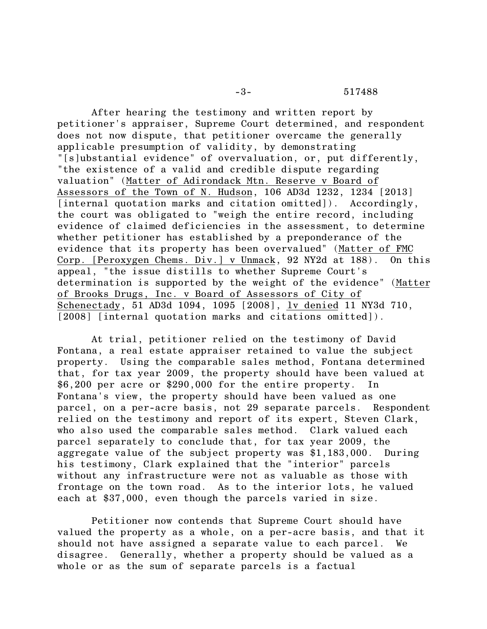After hearing the testimony and written report by petitioner's appraiser, Supreme Court determined, and respondent does not now dispute, that petitioner overcame the generally applicable presumption of validity, by demonstrating "[s]ubstantial evidence" of overvaluation, or, put differently, "the existence of a valid and credible dispute regarding valuation" (Matter of Adirondack Mtn. Reserve v Board of Assessors of the Town of N. Hudson, 106 AD3d 1232, 1234 [2013] [internal quotation marks and citation omitted]). Accordingly, the court was obligated to "weigh the entire record, including evidence of claimed deficiencies in the assessment, to determine whether petitioner has established by a preponderance of the evidence that its property has been overvalued" (Matter of FMC Corp. [Peroxygen Chems. Div.] v Unmack, 92 NY2d at 188). On this appeal, "the issue distills to whether Supreme Court's determination is supported by the weight of the evidence" (Matter of Brooks Drugs, Inc. v Board of Assessors of City of Schenectady, 51 AD3d 1094, 1095 [2008], lv denied 11 NY3d 710, [2008] [internal quotation marks and citations omitted]).

At trial, petitioner relied on the testimony of David Fontana, a real estate appraiser retained to value the subject property. Using the comparable sales method, Fontana determined that, for tax year 2009, the property should have been valued at \$6,200 per acre or \$290,000 for the entire property. In Fontana's view, the property should have been valued as one parcel, on a per-acre basis, not 29 separate parcels. Respondent relied on the testimony and report of its expert, Steven Clark, who also used the comparable sales method. Clark valued each parcel separately to conclude that, for tax year 2009, the aggregate value of the subject property was \$1,183,000. During his testimony, Clark explained that the "interior" parcels without any infrastructure were not as valuable as those with frontage on the town road. As to the interior lots, he valued each at \$37,000, even though the parcels varied in size.

Petitioner now contends that Supreme Court should have valued the property as a whole, on a per-acre basis, and that it should not have assigned a separate value to each parcel. We disagree. Generally, whether a property should be valued as a whole or as the sum of separate parcels is a factual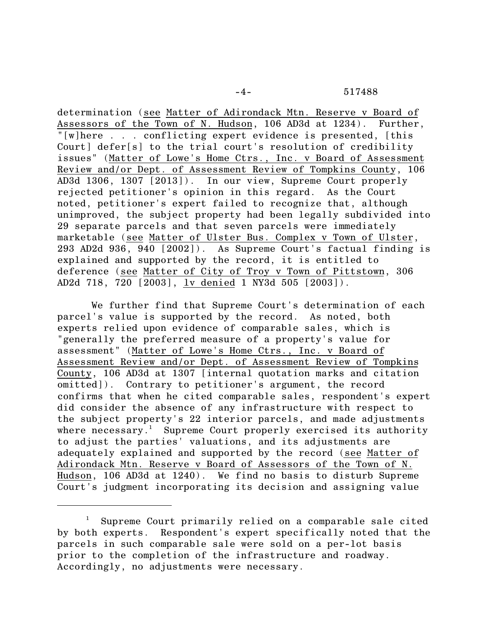determination (see Matter of Adirondack Mtn. Reserve v Board of Assessors of the Town of N. Hudson, 106 AD3d at 1234). Further, "[w]here . . . conflicting expert evidence is presented, [this Court] defer[s] to the trial court's resolution of credibility issues" (Matter of Lowe's Home Ctrs., Inc. v Board of Assessment Review and/or Dept. of Assessment Review of Tompkins County, 106 AD3d 1306, 1307 [2013]). In our view, Supreme Court properly rejected petitioner's opinion in this regard. As the Court noted, petitioner's expert failed to recognize that, although unimproved, the subject property had been legally subdivided into 29 separate parcels and that seven parcels were immediately marketable (see Matter of Ulster Bus. Complex v Town of Ulster, 293 AD2d 936, 940 [2002]). As Supreme Court's factual finding is explained and supported by the record, it is entitled to deference (see Matter of City of Troy v Town of Pittstown, 306 AD2d 718, 720 [2003], lv denied 1 NY3d 505 [2003]).

We further find that Supreme Court's determination of each parcel's value is supported by the record. As noted, both experts relied upon evidence of comparable sales, which is "generally the preferred measure of a property's value for assessment" (Matter of Lowe's Home Ctrs., Inc. v Board of Assessment Review and/or Dept. of Assessment Review of Tompkins County, 106 AD3d at 1307 [internal quotation marks and citation omitted]). Contrary to petitioner's argument, the record confirms that when he cited comparable sales, respondent's expert did consider the absence of any infrastructure with respect to the subject property's 22 interior parcels, and made adjustments where necessary.<sup>1</sup> Supreme Court properly exercised its authority to adjust the parties' valuations, and its adjustments are adequately explained and supported by the record (see Matter of Adirondack Mtn. Reserve v Board of Assessors of the Town of N. Hudson, 106 AD3d at 1240). We find no basis to disturb Supreme Court's judgment incorporating its decision and assigning value

<sup>&</sup>lt;sup>1</sup> Supreme Court primarily relied on a comparable sale cited by both experts. Respondent's expert specifically noted that the parcels in such comparable sale were sold on a per-lot basis prior to the completion of the infrastructure and roadway. Accordingly, no adjustments were necessary.